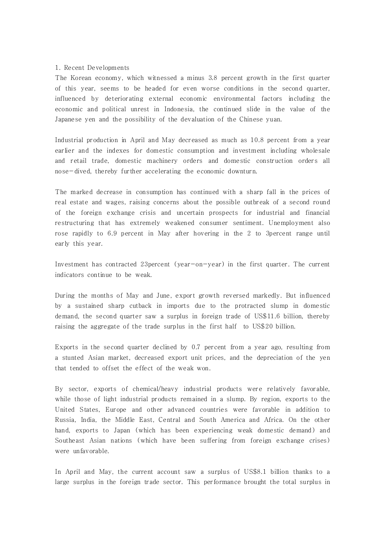### 1. Recent Developments

The Korean economy, which witnessed a minus 3.8 percent growth in the first quarter of this year, seems to be headed for even worse conditions in the second quarter, influenced by deteriorating external economic environmental factors including the economic and political unrest in Indonesia, the continued slide in the value of the Japanese yen and the possibility of the devaluation of the Chinese yuan.

Industrial production in April and May decreased as much as 10.8 percent from a year earlier and the indexes for domestic consumption and investment including wholesale and retail trade, domestic machinery orders and domestic construction orders all nose-dived, thereby further accelerating the economic downturn.

The marked decrease in consumption has continued with a sharp fall in the prices of real estate and wages, raising concerns about the possible outbreak of a second round of the foreign exchange crisis and uncertain prospects for industrial and financial restructuring that has extremely weakened consumer sentiment. Unemployment also rose rapidly to 6.9 percent in May after hovering in the 2 to 3percent range until early this year.

Investment has contracted 23percent (year-on-year) in the first quarter. The current indicators continue to be weak.

During the months of May and June, export growth reversed markedly. But influenced by a sustained sharp cutback in imports due to the protracted slump in domestic demand, the second quarter saw a surplus in foreign trade of US\$11.6 billion, thereby raising the aggregate of the trade surplus in the first half to US\$20 billion.

Exports in the second quarter declined by 0.7 percent from a year ago, resulting from a stunted Asian market, decreased export unit prices, and the depreciation of the yen that tended to offset the effect of the weak won.

By sector, exports of chemical/heavy industrial products were relatively favorable, while those of light industrial products remained in a slump. By region, exports to the United States, Europe and other advanced countries were favorable in addition to Russia, India, the Middle East, Central and South America and Africa. On the other hand, exports to Japan (which has been experiencing weak domestic demand) and Southeast Asian nations (which have been suffering from foreign exchange crises) were unfavorable.

In April and May, the current account saw a surplus of US\$8.1 billion thanks to a large surplus in the foreign trade sector. This performance brought the total surplus in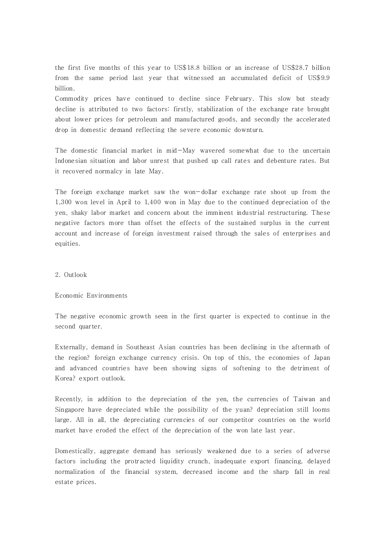the first five months of this year to US\$18.8 billion or an increase of US\$28.7 billion from the same period last year that witnessed an accumulated deficit of US\$9.9 billion.

Commodity prices have continued to decline since February. This slow but steady decline is attributed to two factors: firstly, stabilization of the exchange rate brought about lower prices for petroleum and manufactured goods, and secondly the accelerated drop in domestic demand reflecting the severe economic downturn.

The domestic financial market in mid-May wavered somewhat due to the uncertain Indonesian situation and labor unrest that pushed up call rates and debenture rates. But it recovered normalcy in late May.

The foreign exchange market saw the won-dollar exchange rate shoot up from the 1,300 won level in April to 1,400 won in May due to the continued depreciation of the yen, shaky labor market and concern about the imminent industrial restructuring. These negative factors more than offset the effects of the sustained surplus in the current account and increase of foreign investment raised through the sales of enterprises and equities.

# 2. Outlook

### Economic Environments

The negative economic growth seen in the first quarter is expected to continue in the second quarter.

Externally, demand in Southeast Asian countries has been declining in the aftermath of the region? foreign exchange currency crisis. On top of this, the economies of Japan and advanced countries have been showing signs of softening to the detriment of Korea? export outlook.

Recently, in addition to the depreciation of the yen, the currencies of Taiwan and Singapore have depreciated while the possibility of the yuan? depreciation still looms large. All in all, the depreciating currencies of our competitor countries on the world market have eroded the effect of the depreciation of the won late last year.

Domestically, aggregate demand has seriously weakened due to a series of adverse factors including the protracted liquidity crunch, inadequate export financing, delayed normalization of the financial system, decreased income and the sharp fall in real estate prices.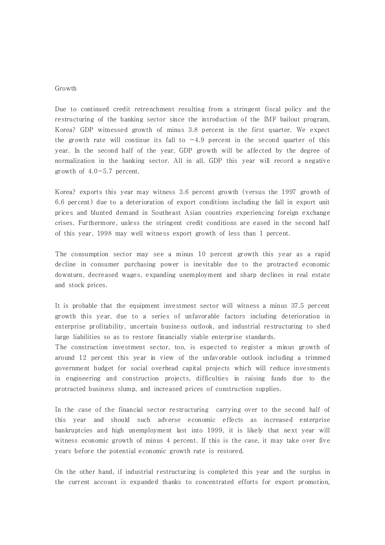### Growth

Due to continued credit retrenchment resulting from a stringent fiscal policy and the restructuring of the banking sector since the introduction of the IMF bailout program, Korea? GDP witnessed growth of minus 3.8 percent in the first quarter. We expect the growth rate will continue its fall to  $-4.9$  percent in the second quarter of this year. In the second half of the year, GDP growth will be affected by the degree of normalization in the banking sector. All in all, GDP this year will record a negative growth of  $4.0-5.7$  percent.

Korea? exports this year may witness 3.6 percent growth (versus the 1997 growth of 6.6 percent) due to a deterioration of export conditions including the fall in export unit prices and blunted demand in Southeast Asian countries experiencing foreign exchange crises. Furthermore, unless the stringent credit conditions are eased in the second half of this year, 1998 may well witness export growth of less than 1 percent.

The consumption sector may see a minus 10 percent growth this year as a rapid decline in consumer purchasing power is inevitable due to the protracted economic downturn, decreased wages, expanding unemployment and sharp declines in real estate and stock prices.

It is probable that the equipment investment sector will witness a minus 37.5 percent growth this year, due to a series of unfavorable factors including deterioration in enterprise profitability, uncertain business outlook, and industrial restructuring to shed large liabilities so as to restore financially viable enterprise standards.

The construction investment sector, too, is expected to register a minus growth of around 12 percent this year in view of the unfavorable outlook including a trimmed government budget for social overhead capital projects which will reduce investments in engineering and construction projects, difficulties in raising funds due to the protracted business slump, and increased prices of construction supplies.

In the case of the financial sector restructuring carrying over to the second half of this year and should such adverse economic effects as increased enterprise bankruptcies and high unemployment last into 1999, it is likely that next year will witness economic growth of minus 4 percent. If this is the case, it may take over five years before the potential economic growth rate is restored.

On the other hand, if industrial restructuring is completed this year and the surplus in the current account is expanded thanks to concentrated efforts for export promotion,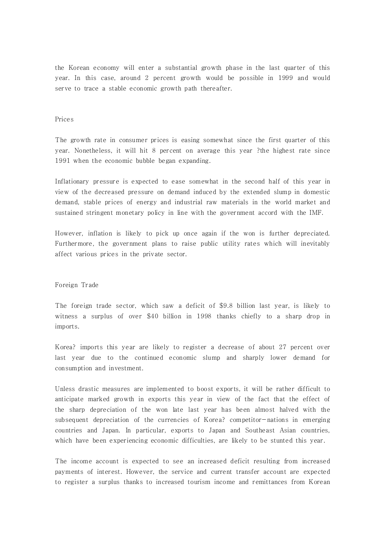the Korean economy will enter a substantial growth phase in the last quarter of this year. In this case, around 2 percent growth would be possible in 1999 and would serve to trace a stable economic growth path thereafter.

## Prices

The growth rate in consumer prices is easing somewhat since the first quarter of this year. Nonetheless, it will hit 8 percent on average this year ?the highest rate since 1991 when the economic bubble began expanding.

Inflationary pressure is expected to ease somewhat in the second half of this year in view of the decreased pressure on demand induced by the extended slump in domestic demand, stable prices of energy and industrial raw materials in the world market and sustained stringent monetary policy in line with the government accord with the IMF.

However, inflation is likely to pick up once again if the won is further depreciated. Furthermore, the government plans to raise public utility rates which will inevitably affect various prices in the private sector.

#### Foreign Trade

The foreign trade sector, which saw a deficit of \$9.8 billion last year, is likely to witness a surplus of over \$40 billion in 1998 thanks chiefly to a sharp drop in imports.

Korea? imports this year are likely to register a decrease of about 27 percent over last year due to the continued economic slump and sharply lower demand for consumption and investment.

Unless drastic measures are implemented to boost exports, it will be rather difficult to anticipate marked growth in exports this year in view of the fact that the effect of the sharp depreciation of the won late last year has been almost halved with the subsequent depreciation of the currencies of Korea? competitor-nations in emerging countries and Japan. In particular, exports to Japan and Southeast Asian countries, which have been experiencing economic difficulties, are likely to be stunted this year.

The income account is expected to see an increased deficit resulting from increased payments of interest. However, the service and current transfer account are expected to register a surplus thanks to increased tourism income and remittances from Korean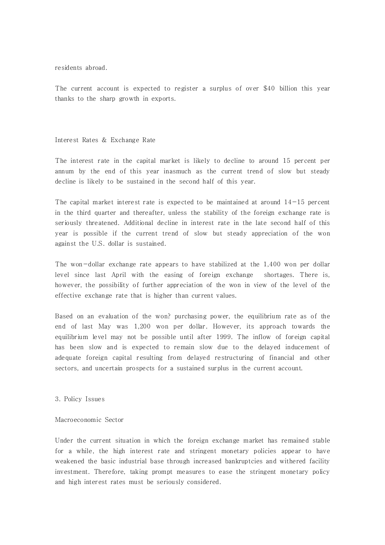residents abroad.

The current account is expected to register a surplus of over \$40 billion this year thanks to the sharp growth in exports.

### Interest Rates & Exchange Rate

The interest rate in the capital market is likely to decline to around 15 percent per annum by the end of this year inasmuch as the current trend of slow but steady decline is likely to be sustained in the second half of this year.

The capital market interest rate is expected to be maintained at around  $14-15$  percent in the third quarter and thereafter, unless the stability of the foreign exchange rate is seriously threatened. Additional decline in interest rate in the late second half of this year is possible if the current trend of slow but steady appreciation of the won against the U.S. dollar is sustained.

The won-dollar exchange rate appears to have stabilized at the 1,400 won per dollar level since last April with the easing of foreign exchange shortages. There is, however, the possibility of further appreciation of the won in view of the level of the effective exchange rate that is higher than current values.

Based on an evaluation of the won? purchasing power, the equilibrium rate as of the end of last May was 1,200 won per dollar. However, its approach towards the equilibrium level may not be possible until after 1999. The inflow of foreign capital has been slow and is expected to remain slow due to the delayed inducement of adequate foreign capital resulting from delayed restructuring of financial and other sectors, and uncertain prospects for a sustained surplus in the current account.

3. Policy Issues

#### Macroeconomic Sector

Under the current situation in which the foreign exchange market has remained stable for a while, the high interest rate and stringent monetary policies appear to have weakened the basic industrial base through increased bankruptcies and withered facility investment. Therefore, taking prompt measures to ease the stringent monetary policy and high interest rates must be seriously considered.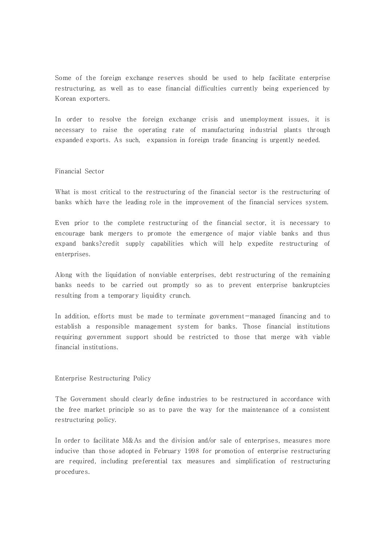Some of the foreign exchange reserves should be used to help facilitate enterprise restructuring, as well as to ease financial difficulties currently being experienced by Korean exporters.

In order to resolve the foreign exchange crisis and unemployment issues, it is necessary to raise the operating rate of manufacturing industrial plants through expanded exports. As such, expansion in foreign trade financing is urgently needed.

### Financial Sector

What is most critical to the restructuring of the financial sector is the restructuring of banks which have the leading role in the improvement of the financial services system.

Even prior to the complete restructuring of the financial sector, it is necessary to encourage bank mergers to promote the emergence of major viable banks and thus expand banks?credit supply capabilities which will help expedite restructuring of enterprises.

Along with the liquidation of nonviable enterprises, debt restructuring of the remaining banks needs to be carried out promptly so as to prevent enterprise bankruptcies resulting from a temporary liquidity crunch.

In addition, efforts must be made to terminate government-managed financing and to establish a responsible management system for banks. Those financial institutions requiring government support should be restricted to those that merge with viable financial institutions.

### Enterprise Restructuring Policy

The Government should clearly define industries to be restructured in accordance with the free market principle so as to pave the way for the maintenance of a consistent restructuring policy.

In order to facilitate M&As and the division and/or sale of enterprises, measures more inducive than those adopted in February 1998 for promotion of enterprise restructuring are required, including preferential tax measures and simplification of restructuring procedures.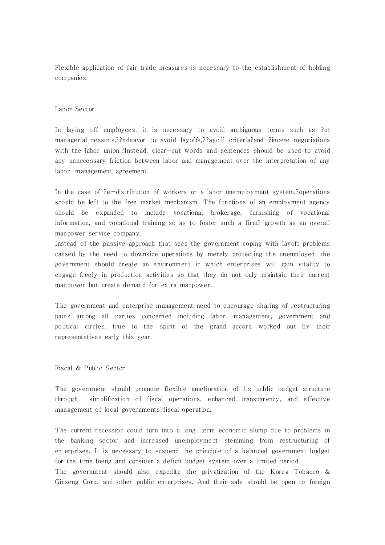Flexible application of fair trade measures is necessary to the establishment of holding companies.

### Labor Sector

In laying off employees, it is necessary to avoid ambiguous terms such as ?or managerial reasons,??ndeavor to avoid layoffs,??ayoff criteria?and ?incere negotiations with the labor union.?Instead, clear-cut words and sentences should be used to avoid any unnecessary friction between labor and management over the interpretation of any labor-management agreement.

In the case of ?e-distribution of workers or a labor unemployment system,?operations should be left to the free market mechanism. The functions of an employment agency should be expanded to include vocational brokerage, furnishing of vocational information, and vocational training so as to foster such a firm? growth as an overall manpower service company.

Instead of the passive approach that sees the government coping with layoff problems caused by the need to downsize operations by merely protecting the unemployed, the government should create an environment in which enterprises will gain vitality to engage freely in production activities so that they do not only maintain their current manpower but create demand for extra manpower.

The government and enterprise management need to encourage sharing of restructuring pains among all parties concerned including labor, management, government and political circles, true to the spirit of the grand accord worked out by their representatives early this year.

# Fiscal & Public Sector

The government should promote flexible amelioration of its public budget structure through simplification of fiscal operations, enhanced transparency, and effective management of local governments?fiscal operation.

The current recession could turn into a long-term economic slump due to problems in the banking sector and increased unemployment stemming from restructuring of enterprises. It is necessary to suspend the principle of a balanced government budget for the time being and consider a deficit budget system over a limited period.

The government should also expedite the privatization of the Korea Tobacco & Ginseng Corp. and other public enterprises. And their sale should be open to foreign